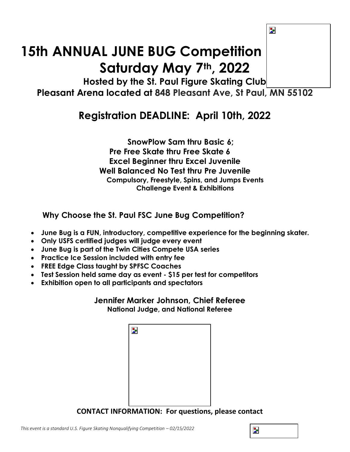# **15th ANNUAL JUNE BUG Competition Saturday May 7th, 2022**

**Hosted by the St. Paul Figure Skating Club Pleasant Arena located at 848 Pleasant Ave, St Paul, MN 55102**

# **Registration DEADLINE: April 10th, 2022**

## **SnowPlow Sam thru Basic 6; Pre Free Skate thru Free Skate 6 Excel Beginner thru Excel Juvenile Well Balanced No Test thru Pre Juvenile Compulsory, Freestyle, Spins, and Jumps Events Challenge Event & Exhibitions**

**Why Choose the St. Paul FSC June Bug Competition?**

- **June Bug is a FUN, introductory, competitive experience for the beginning skater.**
- **Only USFS certified judges will judge every event**
- **June Bug is part of the Twin Cities Compete USA series**
- **Practice Ice Session included with entry fee**
- **FREE Edge Class taught by SPFSC Coaches**
- **Test Session held same day as event - \$15 per test for competitors**
- **Exhibition open to all participants and spectators**

#### **Jennifer Marker Johnson, Chief Referee National Judge, and National Referee**

| $\overline{\mathbf{z}}$ |  |  |
|-------------------------|--|--|
|                         |  |  |
|                         |  |  |
|                         |  |  |
|                         |  |  |

**CONTACT INFORMATION: For questions, please contact** 

Ъ,

 $\overline{\mathbf{z}}$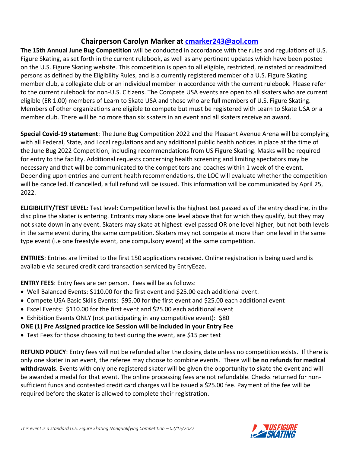### **Chairperson Carolyn Marker at [cmarker243@aol.com](mailto:cmarker243@aol.com)**

**The 15th Annual June Bug Competition** will be conducted in accordance with the rules and regulations of U.S. Figure Skating, as set forth in the current rulebook, as well as any pertinent updates which have been posted on the U.S. Figure Skating website. This competition is open to all eligible, restricted, reinstated or readmitted persons as defined by the Eligibility Rules, and is a currently registered member of a U.S. Figure Skating member club, a collegiate club or an individual member in accordance with the current rulebook. Please refer to the current rulebook for non-U.S. Citizens. The Compete USA events are open to all skaters who are current eligible (ER 1.00) members of Learn to Skate USA and those who are full members of U.S. Figure Skating. Members of other organizations are eligible to compete but must be registered with Learn to Skate USA or a member club. There will be no more than six skaters in an event and all skaters receive an award.

**Special Covid-19 statement**: The June Bug Competition 2022 and the Pleasant Avenue Arena will be complying with all Federal, State, and Local regulations and any additional public health notices in place at the time of the June Bug 2022 Competition, including recommendations from US Figure Skating. Masks will be required for entry to the facility. Additional requests concerning health screening and limiting spectators may be necessary and that will be communicated to the competitors and coaches within 1 week of the event. Depending upon entries and current health recommendations, the LOC will evaluate whether the competition will be cancelled. If cancelled, a full refund will be issued. This information will be communicated by April 25, 2022.

**ELIGIBILITY/TEST LEVEL**: Test level: Competition level is the highest test passed as of the entry deadline, in the discipline the skater is entering. Entrants may skate one level above that for which they qualify, but they may not skate down in any event. Skaters may skate at highest level passed OR one level higher, but not both levels in the same event during the same competition. Skaters may not compete at more than one level in the same type event (i.e one freestyle event, one compulsory event) at the same competition.

**ENTRIES**: Entries are limited to the first 150 applications received. Online registration is being used and is available via secured credit card transaction serviced by EntryEeze.

**ENTRY FEES**: Entry fees are per person. Fees will be as follows:

- Well Balanced Events: \$110.00 for the first event and \$25.00 each additional event.
- Compete USA Basic Skills Events: \$95.00 for the first event and \$25.00 each additional event
- Excel Events: \$110.00 for the first event and \$25.00 each additional event
- Exhibition Events ONLY (not participating in any competitive event): \$80

**ONE (1) Pre Assigned practice Ice Session will be included in your Entry Fee**

• Test Fees for those choosing to test during the event, are \$15 per test

**REFUND POLICY**: Entry fees will not be refunded after the closing date unless no competition exists. If there is only one skater in an event, the referee may choose to combine events. There will **be no refunds for medical withdrawals**. Events with only one registered skater will be given the opportunity to skate the event and will be awarded a medal for that event. The online processing fees are not refundable. Checks returned for nonsufficient funds and contested credit card charges will be issued a \$25.00 fee. Payment of the fee will be required before the skater is allowed to complete their registration.

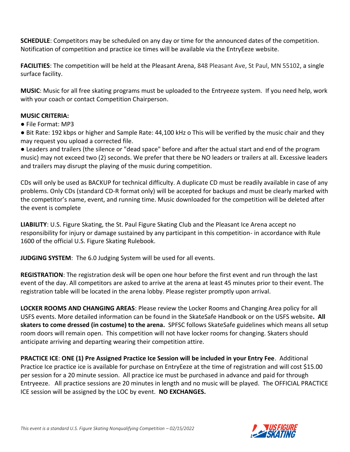**SCHEDULE**: Competitors may be scheduled on any day or time for the announced dates of the competition. Notification of competition and practice ice times will be available via the EntryEeze website.

**FACILITIES**: The competition will be held at the Pleasant Arena, 848 Pleasant Ave, St Paul, MN 55102, a single surface facility.

**MUSIC**: Music for all free skating programs must be uploaded to the Entryeeze system. If you need help, work with your coach or contact Competition Chairperson.

#### **MUSIC CRITERIA:**

● File Format: MP3

● Bit Rate: 192 kbps or higher and Sample Rate: 44,100 kHz o This will be verified by the music chair and they may request you upload a corrected file.

● Leaders and trailers (the silence or "dead space" before and after the actual start and end of the program music) may not exceed two (2) seconds. We prefer that there be NO leaders or trailers at all. Excessive leaders and trailers may disrupt the playing of the music during competition.

CDs will only be used as BACKUP for technical difficulty. A duplicate CD must be readily available in case of any problems. Only CDs (standard CD-R format only) will be accepted for backups and must be clearly marked with the competitor's name, event, and running time. Music downloaded for the competition will be deleted after the event is complete

**LIABILITY**: U.S. Figure Skating, the St. Paul Figure Skating Club and the Pleasant Ice Arena accept no responsibility for injury or damage sustained by any participant in this competition- in accordance with Rule 1600 of the official U.S. Figure Skating Rulebook.

**JUDGING SYSTEM**: The 6.0 Judging System will be used for all events.

**REGISTRATION**: The registration desk will be open one hour before the first event and run through the last event of the day. All competitors are asked to arrive at the arena at least 45 minutes prior to their event. The registration table will be located in the arena lobby. Please register promptly upon arrival.

**LOCKER ROOMS AND CHANGING AREAS**: Please review the Locker Rooms and Changing Area policy for all USFS events. More detailed information can be found in the SkateSafe Handbook or on the USFS website**. All skaters to come dressed (in costume) to the arena.** SPFSC follows SkateSafe guidelines which means all setup room doors will remain open. This competition will not have locker rooms for changing. Skaters should anticipate arriving and departing wearing their competition attire.

**PRACTICE ICE**: **ONE (1) Pre Assigned Practice Ice Session will be included in your Entry Fee**. Additional Practice Ice practice ice is available for purchase on EntryEeze at the time of registration and will cost \$15.00 per session for a 20 minute session. All practice ice must be purchased in advance and paid for through Entryeeze. All practice sessions are 20 minutes in length and no music will be played. The OFFICIAL PRACTICE ICE session will be assigned by the LOC by event. **NO EXCHANGES.**

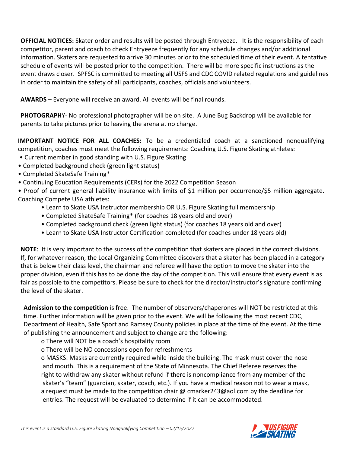**OFFICIAL NOTICES:** Skater order and results will be posted through Entryeeze. It is the responsibility of each competitor, parent and coach to check Entryeeze frequently for any schedule changes and/or additional information. Skaters are requested to arrive 30 minutes prior to the scheduled time of their event. A tentative schedule of events will be posted prior to the competition. There will be more specific instructions as the event draws closer. SPFSC is committed to meeting all USFS and CDC COVID related regulations and guidelines in order to maintain the safety of all participants, coaches, officials and volunteers.

**AWARDS** – Everyone will receive an award. All events will be final rounds.

**PHOTOGRAPH**Y- No professional photographer will be on site. A June Bug Backdrop will be available for parents to take pictures prior to leaving the arena at no charge.

**IMPORTANT NOTICE FOR ALL COACHES:** To be a credentialed coach at a sanctioned nonqualifying competition, coaches must meet the following requirements: Coaching U.S. Figure Skating athletes:

- Current member in good standing with U.S. Figure Skating
- Completed background check (green light status)
- Completed SkateSafe Training\*
- Continuing Education Requirements (CERs) for the 2022 Competition Season

• Proof of current general liability insurance with limits of \$1 million per occurrence/\$5 million aggregate. Coaching Compete USA athletes:

- Learn to Skate USA Instructor membership OR U.S. Figure Skating full membership
- Completed SkateSafe Training\* (for coaches 18 years old and over)
- Completed background check (green light status) (for coaches 18 years old and over)
- Learn to Skate USA Instructor Certification completed (for coaches under 18 years old)

**NOTE**: It is very important to the success of the competition that skaters are placed in the correct divisions. If, for whatever reason, the Local Organizing Committee discovers that a skater has been placed in a category that is below their class level, the chairman and referee will have the option to move the skater into the proper division, even if this has to be done the day of the competition. This will ensure that every event is as fair as possible to the competitors. Please be sure to check for the director/instructor's signature confirming the level of the skater.

**Admission to the competition** is free. The number of observers/chaperones will NOT be restricted at this time. Further information will be given prior to the event. We will be following the most recent CDC, Department of Health, Safe Sport and Ramsey County policies in place at the time of the event. At the time of publishing the announcement and subject to change are the following:

o There will NOT be a coach's hospitality room

o There will be NO concessions open for refreshments

o MASKS: Masks are currently required while inside the building. The mask must cover the nose and mouth. This is a requirement of the State of Minnesota. The Chief Referee reserves the right to withdraw any skater without refund if there is noncompliance from any member of the skater's "team" (guardian, skater, coach, etc.). If you have a medical reason not to wear a mask, a request must be made to the competition chair @ cmarker243@aol.com by the deadline for entries. The request will be evaluated to determine if it can be accommodated.

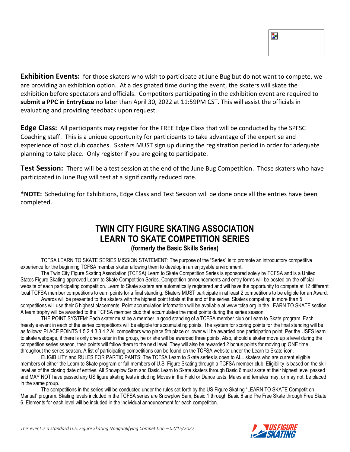| ٠. |  |  |
|----|--|--|
|    |  |  |
|    |  |  |

**Exhibition Events:** for those skaters who wish to participate at June Bug but do not want to compete, we are providing an exhibition option. At a designated time during the event, the skaters will skate the exhibition before spectators and officials. Competitors participating in the exhibition event are required to **submit a PPC in EntryEeze** no later than April 30, 2022 at 11:59PM CST. This will assist the officials in evaluating and providing feedback upon request.

**Edge Class:** All participants may register for the FREE Edge Class that will be conducted by the SPFSC Coaching staff. This is a unique opportunity for participants to take advantage of the expertise and experience of host club coaches. Skaters MUST sign up during the registration period in order for adequate planning to take place. Only register if you are going to participate.

**Test Session:** There will be a test session at the end of the June Bug Competition. Those skaters who have participated in June Bug will test at a significantly reduced rate.

**\*NOTE:** Scheduling for Exhibitions, Edge Class and Test Session will be done once all the entries have been completed.

# **TWIN CITY FIGURE SKATING ASSOCIATION LEARN TO SKATE COMPETITION SERIES (formerly the Basic Skills Series)**

TCFSA LEARN TO SKATE SERIES MISSION STATEMENT: The purpose of the "Series" is to promote an introductory competitive experience for the beginning TCFSA member skater allowing them to develop in an enjoyable environment.

The Twin City Figure Skating Association (TCFSA) Learn to Skate Competition Series is sponsored solely by TCFSA and is a United States Figure Skating approved Learn to Skate Competition Series. Competition announcements and entry forms will be posted on the official website of each participating competition. Learn to Skate skaters are automatically registered and will have the opportunity to compete at 12 different local TCFSA member competitions to earn points for a final standing. Skaters MUST participate in at least 2 competitions to be eligible for an Award.

Awards will be presented to the skaters with the highest point totals at the end of the series. Skaters competing in more than 5 competitions will use their 5 highest placements. Point accumulation information will be available at www.tcfsa.org in the LEARN TO SKATE section. A team trophy will be awarded to the TCFSA member club that accumulates the most points during the series season.

THE POINT SYSTEM: Each skater must be a member in good standing of a TCFSA member club or Learn to Skate program. Each freestyle event in each of the series competitions will be eligible for accumulating points. The system for scoring points for the final standing will be as follows: PLACE POINTS 1 5 2 4 3 3 4 2 All competitors who place 5th place or lower will be awarded one participation point. Per the USFS learn to skate webpage, if there is only one skater in the group, he or she will be awarded three points. Also, should a skater move up a level during the competition series season, their points will follow them to the next level. They will also be rewarded 2 bonus points for moving up ONE time throughout the series season. A list of participating competitions can be found on the TCFSA website under the Learn to Skate icon.

ELIGIBILITY and RULES FOR PARTICIPANTS: The TCFSA Learn to Skate series is open to ALL skaters who are current eligible members of either the Learn to Skate program or full members of U.S. Figure Skating through a TCFSA member club. Eligibility is based on the skill level as of the closing date of entries. All Snowplow Sam and Basic Learn to Skate skaters through Basic 6 must skate at their highest level passed and MAY NOT have passed any US figure skating tests including Moves in the Field or Dance tests. Males and females may, or may not, be placed in the same group.

The competitions in the series will be conducted under the rules set forth by the US Figure Skating "LEARN TO SKATE Competition Manual" program. Skating levels included in the TCFSA series are Snowplow Sam, Basic 1 through Basic 6 and Pre Free Skate through Free Skate 6. Elements for each level will be included in the individual announcement for each competition.